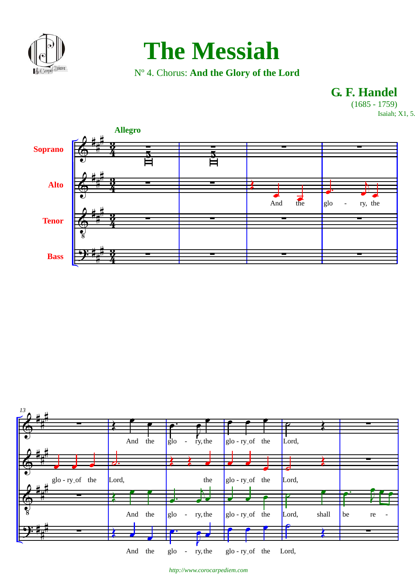

## **The Messiah**

N° 4. Chorus: And the Glory of the Lord

G. F. Handel  $(1685 - 1759)$ 

Isaiah; X1, 5



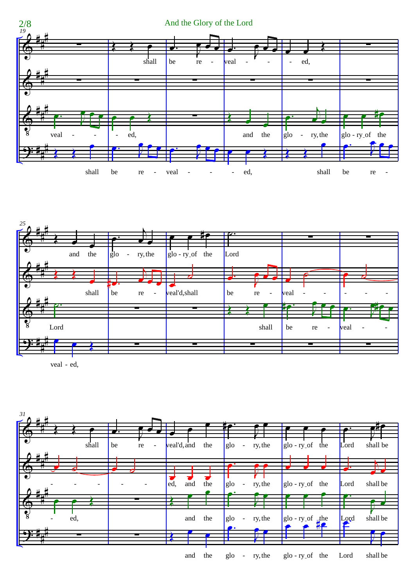



veal - ed,

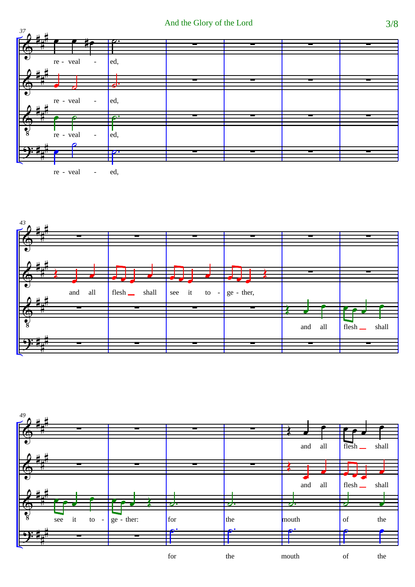

ed, re - veal ÷,



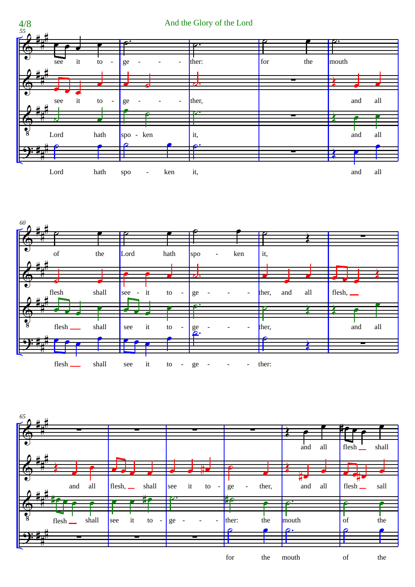





for the mouth

of the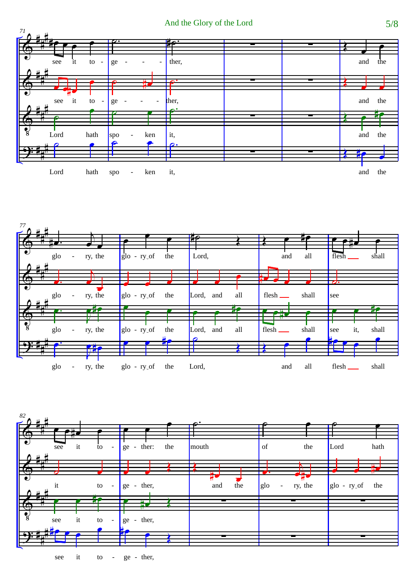





it ge - ther, see to  $\overline{a}$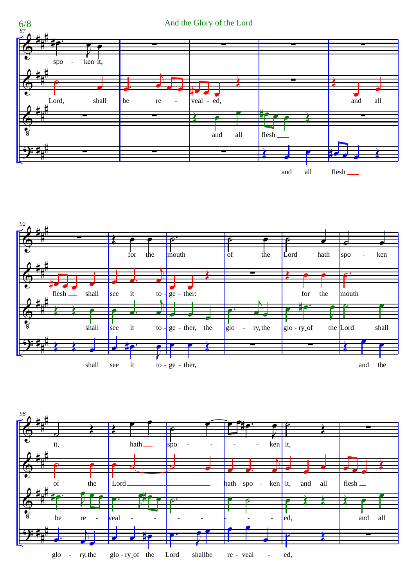



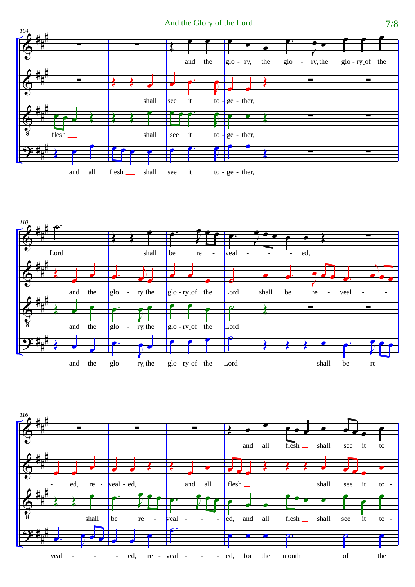And the Glory of the Lord